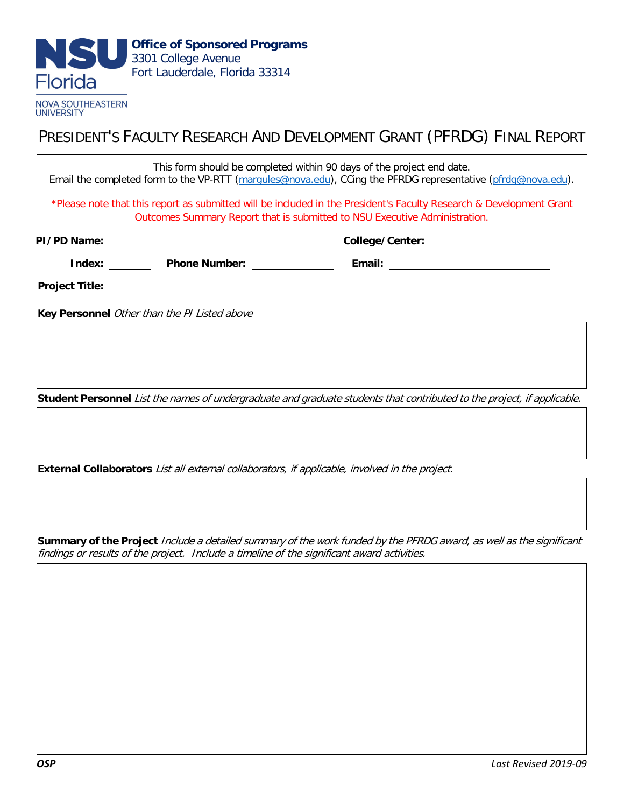

PRESIDENT'S FACULTY RESEARCH AND DEVELOPMENT GRANT (PFRDG) FINAL REPORT

This form should be completed within 90 days of the project end date. Email the completed form to the VP-RTT [\(margules@nova.edu\)](mailto:margules@nova.edu), CCing the PFRDG representative [\(pfrdg@nova.edu\).](mailto:pfrdg@nova.edu) \*Please note that this report as submitted will be included in the President's Faculty Research & Development Grant Outcomes Summary Report that is submitted to NSU Executive Administration. **PI/PD Name: College/Center: Index:** \_\_\_\_\_\_\_\_\_ Phone Number: \_\_\_\_\_\_\_\_\_\_\_\_\_\_\_ Email: \_\_\_\_\_\_\_\_\_\_\_\_\_\_\_\_\_\_\_\_\_\_\_\_ **Project Title: Key Personnel** Other than the PI Listed above **Student Personnel** List the names of undergraduate and graduate students that contributed to the project, if applicable.

**External Collaborators** List all external collaborators, if applicable, involved in the project.

**Summary of the Project** Include a detailed summary of the work funded by the PFRDG award, as well as the significant findings or results of the project. Include a timeline of the significant award activities.